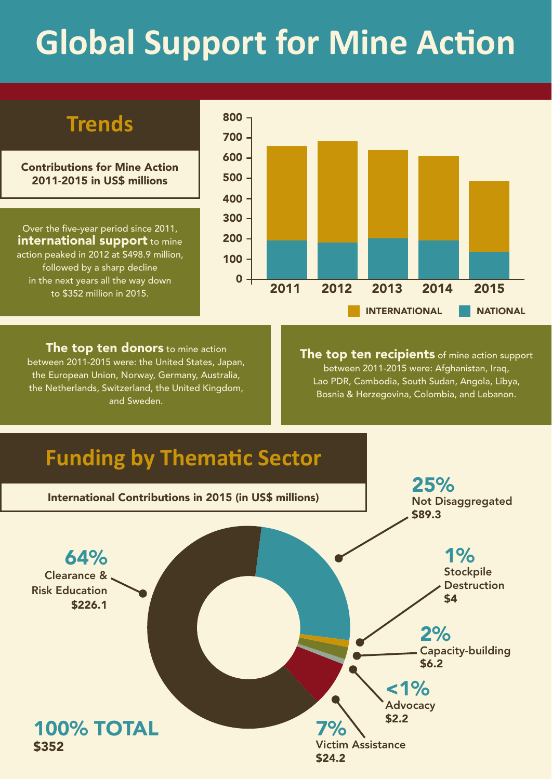# **Global Support for Mine Action**

# **Trends**

Contributions for Mine Action 2011-2015 in US\$ millions

Over the five-year period since 2011, **international support** to mine action peaked in 2012 at \$498.9 million, followed by a sharp decline in the next years all the way down to \$352 million in 2015.



**The top ten donors** to mine action between 2011-2015 were: the United States, Japan, the European Union, Norway, Germany, Australia, the Netherlands, Switzerland, the United Kingdom, and Sweden.

The top ten recipients of mine action support between 2011-2015 were: Afghanistan, Iraq, Lao PDR, Cambodia, South Sudan, Angola, Libya, Bosnia & Herzegovina, Colombia, and Lebanon.

# **Funding by Thematic Sector**